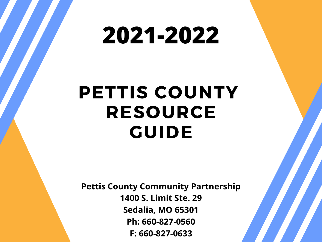# **PETTIS COUNTY RESOURCE GUIDE**

# **2021-2022**

**Pettis County Community Partnership 1400 S. Limit Ste. 29 Sedalia, MO 65301 Ph: 660-827-0560 F: 660-827-0633**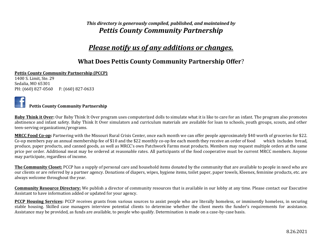### *This directory is generously compiled, published, and maintained by Pettis County Community Partnership*

# *Please notify us of any additions or changes.*

### **What Does Pettis County Community Partnership Offer**?

### **Pettis County Community Partnership (PCCP)**

1400 S. Limit, Ste. 29 Sedalia, MO 65301 PH: (660) 827-0560 F: (660) 827-0633



### **Pettis County Community Partnership**

**Baby Think it Over:** Our Baby Think It Over program uses computerized dolls to simulate what it is like to care for an infant. The program also promotes abstinence and infant safety. Baby Think It Over simulators and curriculum materials are available for loan to schools, youth groups, scouts, and other teen-serving organizations/programs.

**MRCC Food Co-op:** Partnering with the Missouri Rural Crisis Center, once each month we can offer people approximately \$40 worth of groceries for \$22. Co-op members pay an annual membership fee of \$10 and the \$22 monthly co-op fee each month they receive an order of food which includes bread, produce, paper products, and canned goods, as well as MRCC's own Patchwork Farms meat products. Members may request multiple orders at the same price per order. Additional meat may be ordered at reasonable rates. All participants of the food cooperative must be current MRCC members. Anyone may participate, regardless of income.

**The Community Closet:** PCCP has a supply of personal care and household items donated by the community that are available to people in need who are our clients or are referred by a partner agency. Donations of diapers, wipes, hygiene items, toilet paper, paper towels, Kleenex, feminine products, etc. are always welcome throughout the year.

**Community Resource Directory:** We publish a director of community resources that is available in our lobby at any time. Please contact our Executive Assistant to have information added or updated for your agency.

**PCCP Housing Services:** PCCP receives grants from various sources to assist people who are literally homeless, or imminently homeless, in securing stable housing. Skilled case managers interview potential clients to determine whether the client meets the funder's requirements for assistance. Assistance may be provided, as funds are available, to people who qualify. Determination is made on a case-by-case basis.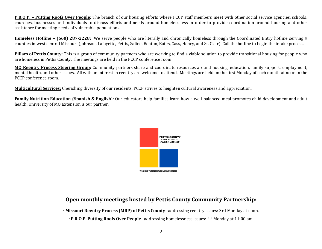**P.R.O.P. – Putting Roofs Over People:** The branch of our housing efforts where PCCP staff members meet with other social service agencies, schools, churches, businesses and individuals to discuss efforts and needs around homelessness in order to provide coordination around housing and other assistance for meeting needs of vulnerable populations.

**Homeless Hotline – (660) 287-2228:** We serve people who are literally and chronically homeless through the Coordinated Entry hotline serving 9 counties in west central Missouri (Johnson, Lafayette, Pettis, Saline, Benton, Bates, Cass, Henry, and St. Clair). Call the hotline to begin the intake process.

**Pillars of Pettis County:** This is a group of community partners who are working to find a viable solution to provide transitional housing for people who are homeless in Pettis County. The meetings are held in the PCCP conference room.

**MO Reentry Process Steering Group:** Community partners share and coordinate resources around housing, education, family support, employment, mental health, and other issues. All with an interest in reentry are welcome to attend. Meetings are held on the first Monday of each month at noon in the PCCP conference room.

**Multicultural Services:** Cherishing diversity of our residents, PCCP strives to heighten cultural awareness and appreciation.

**Family Nutrition Education (Spanish & English**): Our educators help families learn how a well-balanced meal promotes child development and adult health. University of MO Extension is our partner.



### **Open monthly meetings hosted by Pettis County Community Partnership:**

**· Missouri Reentry Process (MRP) of Pettis County**--addressing reentry issues: 3rd Monday at noon.

**· P.R.O.P. Putting Roofs Over People**--addressing homelessness issues: 4th Monday at 11:00 am.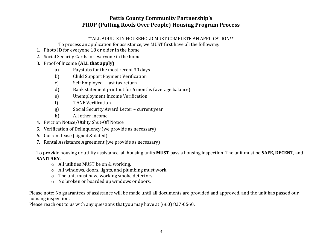### **Pettis County Community Partnership's PROP (Putting Roofs Over People) Housing Program Process**

### \*\*ALL ADULTS IN HOUSEHOLD MUST COMPLETE AN APPLICATION\*\*

To process an application for assistance, we MUST first have all the following:

- 1. Photo ID for everyone 18 or older in the home
- 2. Social Security Cards for everyone in the home
- 3. Proof of Income **(ALL that apply)**
	- a) Paystubs for the most recent 30 days
	- b) Child Support Payment Verification
	- c) Self Employed last tax return
	- d) Bank statement printout for 6 months (average balance)
	- e) Unemployment Income Verification
	- f) TANF Verification
	- g) Social Security Award Letter current year
	- h) All other income
- 4. Eviction Notice/Utility Shut-Off Notice
- 5. Verification of Delinquency (we provide as necessary)
- 6. Current lease (signed & dated)
- 7. Rental Assistance Agreement (we provide as necessary)

To provide housing or utility assistance, all housing units **MUST** pass a housing inspection. The unit must be **SAFE, DECENT**, and **SANITARY**.

- o All utilities MUST be on & working.
- o All windows, doors, lights, and plumbing must work.
- o The unit must have working smoke detectors.
- o No broken or boarded up windows or doors.

Please note: No guarantees of assistance will be made until all documents are provided and approved, and the unit has passed our housing inspection.

Please reach out to us with any questions that you may have at (660) 827-0560.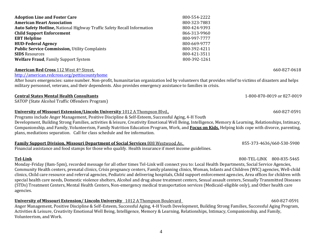**Adoption Line and Foster Care 2000-554-2222 American Heart Association** 800-323-7883 **Auto Safety Hotline,** National Highway Traffic Safety Recall Information 800-424-9393 **Child Support Enforcement** 866-313-9960 **EBT Helpline** 800-997-7777 **HUD-Federal Agency** 800-669-9777 **Public Service Commission, Utility Complaints 800-392-4211 SIDS** Resources800-421-3511 **Welfare Fraud**, Family Support System 800-392-1261

### **American Red Cross** 112 West 4<sup>th</sup> Street, 660-827-0618

### <http://american.redcross.org/pettiscountyhome>

After hours emergencies: same number. Non-profit, humanitarian organization led by volunteers that provides relief to victims of disasters and helps military personnel, veterans, and their dependents. Also provides emergency assistance to families in crisis.

### **Central States Mental Health Consultants** 1-800-870-0019 or 827-0019

SATOP (State Alcohol Traffic Offenders Program)

### **University of Missouri Extension/Lincoln University** 1012 A Thompson Blvd., 660-827-0591

Programs include Anger Management, Positive Discipline & Self-Esteem, Successful Aging, 4-H Youth

Development, Building Strong Families, activities & leisure, Creativity Emotional Well Being, Intelligence, Memory & Learning, Relationships, Intimacy, Companionship, and Family, Volunteerism, Family Nutrition Education Program, Work, and **Focus on Kids.** Helping kids cope with divorce, parenting, plans, mediations separation. Call for class schedule and fee information.

### **Family Support Division, Missouri Department of Social Services** 808 Westwood Av. 855-373-4636/660-530-5900

Financial assistance and food stamps for those who qualify. Health insurance if meet income guidelines.

### **Tel-Link** 800-TEL-LINK 800-835-5465

Monday-Friday (8am-5pm), recorded message for all other times Tel-Link will connect you to: Local Health Departments, Social Service Agencies, Community Health centers, prenatal clinics, Crisis pregnancy centers, Family planning clinics, Woman, Infants and Children (WIC) agencies, Well-child clinics, Child care resource and referral agencies, Pediatric and delivering hospitals, Child support enforcement agencies, Area offices for children with special health care needs, Domestic violence shelters, Alcohol and drug abuse treatment centers, Sexual assault centers, Sexually Transmitted Diseases (STDs) Treatment Centers, Mental Health Centers, Non-emergency medical transportation services (Medicaid-eligible only), and Other health care agencies.

### **University of Missouri Extension/ Lincoln University** 1012 A Thompson Boulevard 660-827-0591

Anger Management, Positive Discipline & Self-Esteem, Successful Aging, 4-H Youth Development, Building Strong Families, Successful Aging Program, Activities & Leisure, Creativity Emotional Well Being, Intelligence, Memory & Learning, Relationships, Intimacy, Companionship, and Family, Volunteerism, and Work.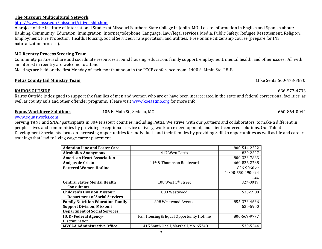### **The Missouri Multicultural Network**

### <http://www.mssc.edu/missouri/citizenship.htm>

A project of the Institute of International Studies at Missouri Southern State College in Joplin, MO. Locate information in English and Spanish about: Banking, Community, Education, Immigration, Internet/telephone, Language, Law/legal services, Media, Public Safety, Refugee Resettlement, Religion, Employment, Fire Protection, Health, Housing, Social Services, Transportation, and utilities. Free online citizenship course (prepare for INS naturalization process).

### **MO Reentry Process Steering Team**

Community partners share and coordinate resources around housing, education, family support, employment, mental health, and other issues. All with an interest in reentry are welcome to attend.

Meetings are held on the first Monday of each month at noon in the PCCP conference room. 1400 S. Limit, Ste. 28-B.

### **Pettis County Jail Ministry Team**   $\blacksquare$  **Pettis County Jail Ministry Team**  $\blacksquare$  **Mike Senta 660-473-3870**

### **KAIROS OUTSIDE** 636-577-4733

Kairos Outside is designed to support the families of men and women who are or have been incarcerated in the state and federal correctional facilities, as well as county jails and other offender programs. Please visit [www.koeastmo.org](http://www.koeastmo.org/) for more info.

### **Equus Workforce Solutions** 106 E. Main St., Sedalia, MO 660-864-0044

### [www.equusworks.com](http://www.equusworks.com/)

Serving TANF and SNAP participants in 30+ Missouri counties, including Pettis. We strive, with our partners and collaborators, to make a different in people's lives and communities by providing exceptional service delivery, workforce development, and client-centered solutions. Our Talent Development Specialists focus on increasing opportunities for individuals and their families by providing SkillUp opportunities as well as life and career trainings that lead to living wage career placement.

| <b>Adoption Line and Foster Care</b>     |                                          | 800-544-2222      |
|------------------------------------------|------------------------------------------|-------------------|
| <b>Alcoholics Anonymous</b>              | 417 West Pettis                          | 829-2527          |
| <b>American Heart Association</b>        |                                          | 800-323-7883      |
| Amigos de Cristo                         | 11 <sup>th</sup> & Thompson Boulevard    | 660-826-2788      |
| <b>Battered Women Hotline</b>            |                                          | 826-9060 or       |
|                                          |                                          | 1-800-550-4900 24 |
|                                          |                                          | hrs.              |
| <b>Central States Mental Health</b>      | 108 West $5th$ Street                    | 827-0019          |
| <b>Consultants</b>                       |                                          |                   |
| <b>Children's Division Missouri</b>      | 808 Westwood                             | 530-5900          |
| <b>Department of Social Services</b>     |                                          |                   |
| <b>Family Nutrition Education Family</b> | 808 Westwood Avenue                      | 855-373-4636      |
| <b>Support Division, Missouri</b>        |                                          | 530-5900          |
| <b>Department of Social Services</b>     |                                          |                   |
| <b>HUD-Federal Agency-</b>               | Fair Housing & Equal Opportunity Hotline | 800-669-9777      |
| Discrimination                           |                                          |                   |
| <b>MVCAA Administrative Office</b>       | 1415 South Odell, Marshall, Mo. 65340    | 530-5544          |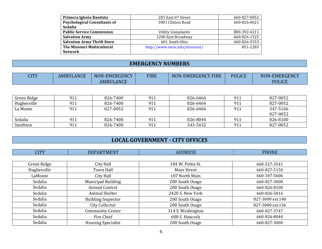| Primera Iglesia Bautista            | 201 East 6th Street           | 660-827-0052 |
|-------------------------------------|-------------------------------|--------------|
| <b>Psychological Consultants of</b> | 3001 Clinton Road             | 660-826-0621 |
| <b>Sedalia</b>                      |                               |              |
| <b>Public Service Commission</b>    | <b>Utility Complaints</b>     | 800-392-4211 |
| <b>Salvation Army</b>               | 1200 East Broadway            | 660-826-1525 |
| <b>Salvation Army Thrift Store</b>  | 601 South Ohio                | 660-826-5553 |
| The Missouri Multicultural          | http://www.mssc.edu/missouri/ | 851-2283     |
| <b>Network</b>                      |                               |              |

# **EMERGENCY NUMBERS**

| $C$ ITV $\bar{C}$<br>$\overline{a}$ | <b>AMBULANCE</b> | NON-EMERGENCY    | <b>FIRE</b> | <b>NON-EMERGENCY FIRE</b> | <b>POLICE</b> | NON-EMERGENCY |
|-------------------------------------|------------------|------------------|-------------|---------------------------|---------------|---------------|
|                                     |                  | <b>AMBULANCE</b> |             |                           |               | <b>POLICE</b> |

| Green Ridge | 911 | 826-7400 | 911 | 826-6464 | 911 | 827-0052 |
|-------------|-----|----------|-----|----------|-----|----------|
| Hughesville | 911 | 826-7400 | 911 | 826-6464 | 911 | 827-0052 |
| La Monte    | 911 | 827-0052 | 911 | 826-6464 | 911 | 347-5106 |
|             |     |          |     |          |     | 827-0052 |
| Sedalia     | 911 | 826-7400 | 911 | 826-8044 | 911 | 826-8100 |
| Smithton    | 911 | 826-7400 | 911 | 343-5432 | 911 | 827-0052 |

# **LOCAL GOVERNMENT - CITY OFFICES**

| <b>CITY</b> | <b>DEPARTMENT</b>         | <b>ADDRESS</b>    | <b>PHONE</b>     |
|-------------|---------------------------|-------------------|------------------|
|             |                           |                   |                  |
| Green Ridge | City Hall                 | 104 W. Pettis St. | 660-527-3541     |
| Hughesville | Town Hall                 | Main Street       | 660-827-5150     |
| LaMonte     | City Hall                 | 107 North Main    | 660-347-5606     |
| Sedalia     | <b>Municipal Building</b> | 200 South Osage   | 660-827-3000     |
| Sedalia     | Animal Control            | 200 South Osage   | 660-826-8100     |
| Sedalia     | Animal Shelter            | 2420 S. New York  | 660-826-5816     |
| Sedalia     | <b>Building Inspector</b> | 200 South Osage   | 827-3000 ext.148 |
| Sedalia     | City Collector            | 200 South Osage   | 827-3000 ext.136 |
| Sedalia     | <b>Community Center</b>   | 314 S. Washington | 660-827-3747     |
| Sedalia     | Fire Chief                | 600 S. Hancock    | 660-826-8044     |
| Sedalia     | <b>Housing Specialist</b> | 200 South Osage   | 660-827-3000     |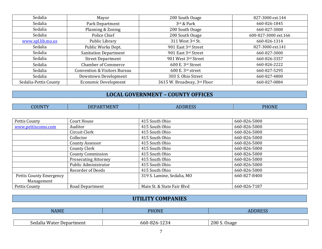| Sedalia               | Mayor                                   | 200 South Osage                   | 827-3000 ext.144     |
|-----------------------|-----------------------------------------|-----------------------------------|----------------------|
| Sedalia               | Park Department                         | 3rd & Park                        | 660-826-1845         |
| Sedalia               | Planning & Zoning                       | 200 South Osage                   | 660-827-3000         |
| Sedalia               | Police Chief                            | 200 South Osage                   | 600-827-3000 ext.166 |
| www.spl.lib.mo.us     | Public Library                          | 311 West 3rd St.                  | 660-826-1314         |
| Sedalia               | Public Works Dept.                      | 901 East 3rd Street               | 827-3000 ext.141     |
| Sedalia               | <b>Sanitation Department</b>            | 901 East 3rd Street               | 660-827-3000         |
| Sedalia               | <b>Street Department</b>                | 901 West 3rd Street               | 660-826-3357         |
| Sedalia               | <b>Chamber of Commerce</b>              | 600 E. 3rd Street                 | 660-826-2222         |
| Sedalia               | <b>Convention &amp; Visitors Bureau</b> | $600$ E. $3$ <sup>rd</sup> street | 660-827-5295         |
| Sedalia               | Downtown Development                    | 303 S. Ohio Street                | 660-827-4800         |
| Sedalia-Pettis County | <b>Economic Development</b>             | 3615 W. Broadway, 3rd Floor       | 660-827-0884         |

# **LOCAL GOVERNMENT – COUNTY OFFICES**

| <b>Contract Contract Contract Contract Contract Contract Contract Contract Contract Contract Contract Contract Co</b><br>_____<br>and the state of the state of the state of the state of the state of the state of the state of the state of th | <b>TATITY</b><br>ΠN | <b>MENT</b><br>`™<br>DE<br>. | the contract of the contract of the contract of the contract of the contract of the contract of the contract of<br>$\sqrt{2}$<br>- 11<br>. | ----<br>DЦ<br><b>HONL</b> |
|--------------------------------------------------------------------------------------------------------------------------------------------------------------------------------------------------------------------------------------------------|---------------------|------------------------------|--------------------------------------------------------------------------------------------------------------------------------------------|---------------------------|
|--------------------------------------------------------------------------------------------------------------------------------------------------------------------------------------------------------------------------------------------------|---------------------|------------------------------|--------------------------------------------------------------------------------------------------------------------------------------------|---------------------------|

| Pettis County           | Court House                 | 415 South Ohio             | 660-826-5000 |
|-------------------------|-----------------------------|----------------------------|--------------|
| www.pettiscomo.com      | Auditor                     | 415 South Ohio             | 660-826-5000 |
|                         | Circuit Clerk               | 415 South Ohio             | 660-826-5000 |
|                         | Collector                   | 415 South Ohio             | 660-826-5000 |
|                         | County Assessor             | 415 South Ohio             | 660-826-5000 |
|                         | County Clerk                | 415 South Ohio             | 660-826-5000 |
|                         | <b>County Commission</b>    | 415 South Ohio             | 660-826-5000 |
|                         | <b>Prosecuting Attorney</b> | 415 South Ohio             | 660-826-5000 |
|                         | Public Administrator        | 415 South Ohio             | 660-826-5000 |
|                         | <b>Recorder of Deeds</b>    | 415 South Ohio             | 660-826-5000 |
| Pettis County Emergency |                             | 319 S. Lamine, Sedalia, MO | 660-827-8400 |
| Management              |                             |                            |              |
| Pettis County           | Road Department             | Main St. & State Fair Blvd | 660-826-7187 |

# **UTILITY COMPANIES**

| <b>NAME</b>                   | <b>DUONE</b><br>'JN)                      | $\sqrt{2}$           |
|-------------------------------|-------------------------------------------|----------------------|
|                               |                                           |                      |
| Sedalia<br>i Water Department | $\sim$<br>660<br>' ≺4.<br>. X / n -<br>∸⊷ | 200<br>۱ςασο<br>waax |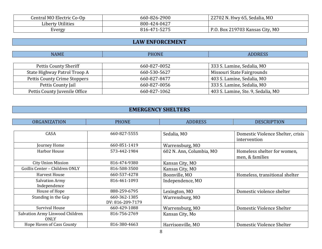| Central MO Electric Co-Op | 660-826-2900 | 22702 N. Hwy 65, Sedalia, MO         |
|---------------------------|--------------|--------------------------------------|
| <b>Liberty Utilities</b>  | 800-424-0427 |                                      |
| Evergy                    | 816-471-5275 | . Box 219703 Kansas City, MO<br>P.O. |

# **LAW ENFORCEMENT**

| <b>NAME</b>                   | <b>PHONE</b> | <b>ADDRESS</b>                     |
|-------------------------------|--------------|------------------------------------|
|                               |              |                                    |
| Pettis County Sheriff         | 660-827-0052 | 333 S. Lamine, Sedalia, MO         |
| State Highway Patrol Troop A  | 660-530-5627 | Missouri State Fairgrounds         |
| Pettis County Crime Stoppers  | 660-827-8477 | 403 S. Lamine, Sedalia, MO         |
| Pettis County Jail            | 660-827-0056 | 333 S. Lamine, Sedalia, MO         |
| Pettis County Juvenile Office | 660-827-1062 | 403 S. Lamine, Ste. 9, Sedalia, MO |

# **EMERGENCY SHELTERS**

| <b>ORGANIZATION</b>              | <b>PHONE</b>     | <b>ADDRESS</b>           | <b>DESCRIPTION</b>                |
|----------------------------------|------------------|--------------------------|-----------------------------------|
|                                  |                  |                          |                                   |
| CASA                             | 660-827-5555     | Sedalia, MO              | Domestic Violence Shelter, crisis |
|                                  |                  |                          | intervention                      |
| Journey Home                     | 660-851-1419     | Warrensburg, MO          |                                   |
| <b>Harbor House</b>              | 573-442-1984     | 602 N. Ann, Columbia, MO | Homeless shelter for women,       |
|                                  |                  |                          | men, & families                   |
| City Union Mission               | 816-474-9380     | Kansas City, MO          |                                   |
| Goillis Center - Children ONLY   | 816-508-3500     | Kansas City, MO          |                                   |
| Harvest House                    | 660-537-4278     | Boonville, MO            | Homeless, transitional shelter    |
| <b>Salvation Army</b>            | 816-461-1093     | Independence, MO         |                                   |
| Independence                     |                  |                          |                                   |
| House of Hope                    | 888-259-6795     | Lexington, MO            | Domestic violence shelter         |
| Standing in the Gap              | 660-362-1385     | Warrensburg, MO          |                                   |
|                                  | DV: 816-209-7179 |                          |                                   |
| <b>Survival House</b>            | 660-429-1088     | Warrensburg, MO          | Domestic Violence Shelter         |
| Salvation Army Linwood Children  | 816-756-2769     | Kansas City, Mo          |                                   |
| ONLY                             |                  |                          |                                   |
| <b>Hope Haven of Cass County</b> | 816-380-4663     | Harrisonville, MO        | Domestic Violence Shelter         |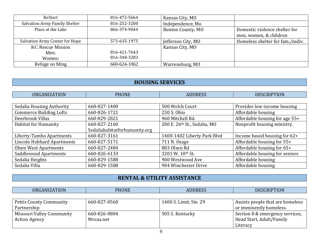| ReStart                              | 816-472-5664 | Kansas City, MO    |                                  |
|--------------------------------------|--------------|--------------------|----------------------------------|
| <b>Salvation Army Family Shelter</b> | 816-252-3200 | Independence, Mo   |                                  |
| Place at the Lake                    | 866-374-9044 | Benton County, MO  | Domestic violence shelter for    |
|                                      |              |                    | men, women, & children           |
| Salvation Army Center for Hope       | 573-635-1975 | Jefferson City, MO | Homeless shelter for fam./indiv. |
| <b>KC</b> Rescue Mission             |              | Kansas City, MO    |                                  |
| Men:                                 | 816-421-7643 |                    |                                  |
| Women:                               | 816-348-3283 |                    |                                  |
| Refuge on Ming                       | 660-624-1062 | Warrensburg, MO    |                                  |

# **HOUSING SERVICES**

| <b>ORGANIZATION</b>               | <b>PHONE</b>                  | <b>ADDRESS</b>               | <b>DESCRIPTION</b>             |
|-----------------------------------|-------------------------------|------------------------------|--------------------------------|
|                                   |                               |                              |                                |
| Sedalia Housing Authority         | 660-827-1400                  | 500 Welch Court              | Provides low-income housing    |
| <b>Commerce Building Lofts</b>    | 660-826-1721                  | 230 S. Ohio                  | Affordable housing             |
| Deerbrook Villas                  | 660-829-2821                  | 960 Mitchell Rd.             | Affordable housing for age 55+ |
| <b>Habitat for Humanity</b>       | 660-827-2160                  | 200 E. 26th St., Sedalia, MO | Nonprofit housing ministry.    |
|                                   | Sedaliahabitatforhumanity.org |                              |                                |
| Liberty-Tambo Apartments          | 660-827-3161                  | 1400-1402 Liberty Park Blvd  | Income based housing for 62+   |
| <b>Lincoln Hubbard Apartments</b> | 660-827-5171                  | 711 N. Osage                 | Affordable housing for 55+     |
| <b>Olsen West Apartments</b>      | 660-827-2484                  | 883 Olsen Rd                 | Affordable housing for 65+     |
| <b>Saddlewood Apartments</b>      | 660-826-6133                  | 3201 W. 10th St.             | Affordable housing for seniors |
| Sedalia Heights                   | 660-829-1588                  | 900 Westwood Ave             | Affordable housing             |
| Sedalia Villa                     | 660-829-1588                  | 904 Winchester Drive         | Affordable housing             |

# **RENTAL & UTILITY ASSISTANCE**

| <b>ORGANIZATION</b>              | <b>PHONE</b> | <b>ADDRESS</b>         | <b>DESCRIPTION</b>               |
|----------------------------------|--------------|------------------------|----------------------------------|
|                                  |              |                        |                                  |
| <b>Pettis County Community</b>   | 660-827-0560 | 1400 S. Limit, Ste. 29 | Assists people that are homeless |
| Partnership                      |              |                        | or imminently homeless.          |
| <b>Missouri Valley Community</b> | 660-826-0804 | 505 S. Kentucky        | Section 8 & emergency services,  |
| <b>Action Agency</b>             | Mvcaa.net    |                        | Head Start, Adult/Family         |
|                                  |              |                        | Literacy                         |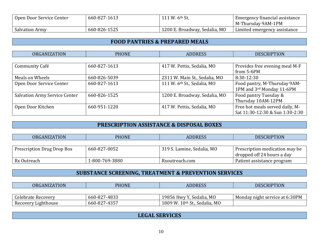| Open Door Service Center | 660-827-1613 | 111 W. 6th St.                | Emergency financial assistance |
|--------------------------|--------------|-------------------------------|--------------------------------|
|                          |              |                               | M-Thursday 9AM-1PM             |
| <b>Salvation Army</b>    | 660-826-1525 | 1200 E. Broadway, Sedalia, MO | Limited emergency assistance   |

### **FOOD PANTRIES & PREPARED MEALS**

| <b>ORGANIZATION</b>                  | <b>PHONE</b> | <b>ADDRESS</b>                | <b>DESCRIPTION</b>              |
|--------------------------------------|--------------|-------------------------------|---------------------------------|
|                                      |              |                               |                                 |
| Community Café                       | 660-827-1613 | 417 W. Pettis, Sedalia, MO    | Provides free evening meal M-F  |
|                                      |              |                               | from 5-6PM                      |
| Meals on Wheels                      | 660-826-5039 | 2311 W. Main St., Sedalia, MO | 8:30-12:30                      |
| Open Door Service Center             | 660-827-1613 | 111 W. 6th St., Sedalia, MO   | Food pantry, M-Thursday 9AM-    |
|                                      |              |                               | 1PM and 3rd Monday 11-6PM       |
| <b>Salvation Army Service Center</b> | 660-826-1525 | 1200 E. Broadway, Sedalia, MO | Food pantry Tuesday &           |
|                                      |              |                               | Thursday 10AM-12PM              |
| Open Door Kitchen                    | 660-951-1220 | 417 W. Pettis, Sedalia, MO    | Free hot meals served daily, M- |
|                                      |              |                               | Sat 11:30-12:30 & Sun 1:30-2:30 |

### **PRESCRIPTION ASSISTANCE & DISPOSAL BOXES**

| <b>ORGANIZATION</b>        | <b>PHONE</b>   | <b>ADDRESS</b>             | <b>DESCRIPTION</b>             |
|----------------------------|----------------|----------------------------|--------------------------------|
|                            |                |                            |                                |
| Prescription Drug Drop Box | 660-827-0052   | 319 S. Lamine, Sedalia, MO | Prescription medication may be |
|                            |                |                            | dropped off 24 hours a day     |
| Rx Outreach                | 1-800-769-3880 | Rxoutreach.com             | Patient assistance program     |

### **SUBSTANCE SCREENING, TREATMENT & PREVENTION SERVICES**

| <b>ORGANIZATION</b> | <b>PHONE</b> | <b>ADDRESS</b>                | <b>DESCRIPTION</b>             |
|---------------------|--------------|-------------------------------|--------------------------------|
|                     |              |                               |                                |
| Celebrate Recovery  | 660-827-4833 | 19856 Hwy Y, Sedalia, MO      | Monday night service at 6:30PM |
| Recovery Lighthouse | 660-827-4357 | 1809 W. 10th St., Sedalia, MO |                                |

### **LEGAL SERVICES**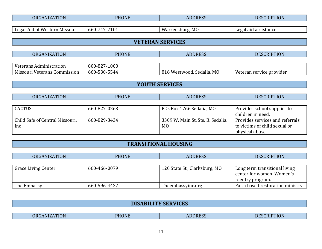| <b>ORGANIZATION</b>           | <b>PHONE</b>                    | <b>ADDRESS</b>  | DESCRIPTION          |
|-------------------------------|---------------------------------|-----------------|----------------------|
|                               |                                 |                 |                      |
| Legal-Aid of Western Missouri | $-7101$<br>$660 - 7$<br>$747 -$ | Warrensburg, MO | Legal aid assistance |

# **VETERAN SERVICES**

| <b>ORGANIZATION</b>          | PHONE        | <b>ADDRESS</b>            | <b>DESCRIPTION</b>       |
|------------------------------|--------------|---------------------------|--------------------------|
|                              |              |                           |                          |
| Veterans Administration      | 800-827-1000 |                           |                          |
| Missouri Veterans Commission | 660-530-5544 | 816 Westwood, Sedalia, MO | Veteran service provider |

# **YOUTH SERVICES**

| <b>ORGANIZATION</b>             | <b>PHONE</b> | <b>ADDRESS</b>                    | <b>DESCRIPTION</b>              |
|---------------------------------|--------------|-----------------------------------|---------------------------------|
|                                 |              |                                   |                                 |
| CACTUS                          | 660-827-0263 | P.O. Box 1766 Sedalia, MO         | Provides school supplies to     |
|                                 |              |                                   | children in need.               |
| Child Safe of Central Missouri, | 660-829-3434 | 3309 W. Main St. Ste. B, Sedalia, | Provides services and referrals |
| Inc                             |              | M <sub>0</sub>                    | to victims of child sexual or   |
|                                 |              |                                   | physical abuse.                 |

# **TRANSITIONAL HOUSING**

| <b>ORGANIZATION</b>        | <b>PHONE</b> | <b>ADDRESS</b>                | <b>DESCRIPTION</b>                                                             |
|----------------------------|--------------|-------------------------------|--------------------------------------------------------------------------------|
|                            |              |                               |                                                                                |
| <b>Grace Living Center</b> | 660-466-0079 | 120 State St., Clarksburg, MO | Long term transitional living<br>center for women. Women's<br>reentry program. |
| The Embassy                | 660-596-4427 | Theembassyinc.org             | Faith based restoration ministry                                               |

| <b>DISABILITY SERVICES</b> |
|----------------------------|
|                            |

| $-$ <u>nm</u> $\wedge$ <sup>-</sup><br>Ы<br>0R)<br>) l<br><b>TINE</b><br>TON<br>$\mathbf{A}$ $\mathbf{N}$<br>TON.<br><b>CONTRACTOR</b><br><b>CONTRACTOR</b><br>and the state of the state of the state of the state of the state of the state of the state of the state of th<br>$\mathcal{L}^{\text{max}}_{\text{max}}$ and $\mathcal{L}^{\text{max}}_{\text{max}}$ and $\mathcal{L}^{\text{max}}_{\text{max}}$ |
|------------------------------------------------------------------------------------------------------------------------------------------------------------------------------------------------------------------------------------------------------------------------------------------------------------------------------------------------------------------------------------------------------------------|
|------------------------------------------------------------------------------------------------------------------------------------------------------------------------------------------------------------------------------------------------------------------------------------------------------------------------------------------------------------------------------------------------------------------|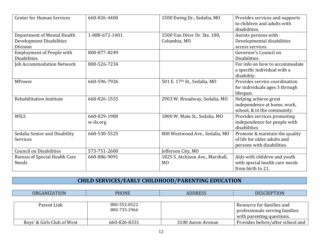| <b>Center for Human Services</b> | 660-826-4400   | 1500 Ewing Dr., Sedalia, MO      | Provides services and supports |
|----------------------------------|----------------|----------------------------------|--------------------------------|
|                                  |                |                                  | to children and adults with    |
|                                  |                |                                  | disabilities.                  |
| Department of Mental Health      | 1-888-672-1401 | 1500 Van Diver Dr. Ste. 100,     | Assists persons with           |
| Development Disabilities         |                | Columbia, MO                     | Developmental disabilities     |
| Division                         |                |                                  | access services.               |
| <b>Employment of People with</b> | 800-877-8249   |                                  | Governor's Council on          |
| <b>Disabilities</b>              |                |                                  | <b>Disabilities</b>            |
| <b>Job Accommodation Network</b> | 800-526-7234   |                                  | For info on how to accommodate |
|                                  |                |                                  | a specific individual with a   |
|                                  |                |                                  | disability.                    |
| MPower                           | 660-596-7926   | 501 E. 17th St., Sedalia, MO     | Provides service coordination  |
|                                  |                |                                  | for individuals ages 3 through |
|                                  |                |                                  | lifespan.                      |
| Rehabilitation Institute         | 660-826-1555   | 2903 W. Broadway, Sedalia, MO    | Helping achieve great          |
|                                  |                |                                  | independence at home, work,    |
|                                  |                |                                  | school, & in the community.    |
| <b>WILS</b>                      | 660-829-1980   | 1800 W. Main St., Sedalia, MO    | Provides services promoting    |
|                                  | w-ils.org      |                                  | independence for people with   |
|                                  |                |                                  | disabilities.                  |
| Sedalia Senior and Disability    | 660-530-5525   | 808 Westwood Ave., Sedalia, MO   | Promote & maintain the quality |
| Services                         |                |                                  | of life for older adults and   |
|                                  |                |                                  | persons with disabilities.     |
| <b>Council on Disabilities</b>   | 573-751-2600   | Jefferson City, MO               |                                |
| Bureau of Special Health Care    | 660-886-9091   | 1825 S. Atchison Ave., Marshall, | Aids with children and youth   |
| <b>Needs</b>                     |                | M <sub>0</sub>                   | with special health care needs |
|                                  |                |                                  | from birth to 21.              |

# **CHILD SERVICES/EARLY CHILDHOOD/PARENTING EDUCATION**

| <b>ORGANIZATION</b>        | <b>PHONE</b>                 | <b>ADDRESS</b>    | <b>DESCRIPTION</b>                                                                       |
|----------------------------|------------------------------|-------------------|------------------------------------------------------------------------------------------|
|                            |                              |                   |                                                                                          |
| Parent Link                | 800-552-8522<br>800-735-2966 |                   | Resource for families and<br>professionals serving families<br>with parenting questions. |
| Boys' & Girls Club of West | 660-826-8331                 | 3100 Aaron Avenue | Provides before/after school and                                                         |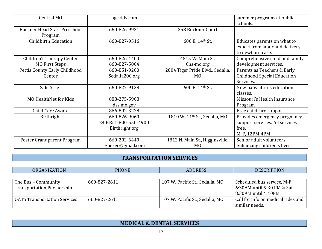| Central MO                                     | bgckids.com           |                                           | summer programs at public<br>schools.                                             |
|------------------------------------------------|-----------------------|-------------------------------------------|-----------------------------------------------------------------------------------|
| <b>Buckner Head Start Preschool</b><br>Program | 660-826-9931          | 358 Buckner Court                         |                                                                                   |
| <b>Childbirth Education</b>                    | 660-827-9516          | 600 E. 14th St.                           | Educates parents on what to<br>expect from labor and delivery<br>to newborn care. |
| Children's Therapy Center                      | 660-826-4400          | 4515 W. Main St.                          | Comprehensive child and family                                                    |
| <b>MO First Steps</b>                          | 660-827-5004          | Chs-mo.org                                | development services.                                                             |
| Pettis County Early Childhood                  | 660-851-9200          | 2004 Tiger Pride Blvd., Sedalia,          | Parents as Teachers & Early                                                       |
| Center                                         | Sedalia200.org        | M <sub>0</sub>                            | <b>Childhood Special Education</b>                                                |
|                                                |                       |                                           | Services.                                                                         |
| Safe Sitter                                    | 660-827-9138          | 600 E. 14th St.                           | New babysitter's education                                                        |
|                                                |                       |                                           | classes.                                                                          |
| <b>MO HealthNet for Kids</b>                   | 888-275-5908          |                                           | Missouri's Health Insurance                                                       |
|                                                | dss.mo.gov            |                                           | Program                                                                           |
| Child Care Aware                               | 866-892-3228          |                                           | Free childcare support.                                                           |
| Birthright                                     | 660-826-9060          | 1810 W. 11 <sup>th</sup> St., Sedalia, MO | Provides emergency pregnancy                                                      |
|                                                | 24 HR: 1-800-550-4900 |                                           | support services. All services                                                    |
|                                                | Birthright.org        |                                           | free.                                                                             |
|                                                |                       |                                           | M-F, 12PM-4PM                                                                     |
| <b>Foster Grandparent Program</b>              | 660-202-6440          | 1812 N. Main St., Higginsville,           | Senior adult volunteers                                                           |
|                                                | fgpexec@gmail.com     | M <sub>0</sub>                            | enhancing children's lives.                                                       |

### **TRANSPORTATION SERVICES**

| <b>ORGANIZATION</b>                 | <b>PHONE</b> | <b>ADDRESS</b>                  | <b>DESCRIPTION</b>                 |
|-------------------------------------|--------------|---------------------------------|------------------------------------|
|                                     |              |                                 |                                    |
| The Bus – Community                 | 660-827-2611 | 107 W. Pacific St., Sedalia, MO | Scheduled bus service, M-F         |
| <b>Transportation Partnership</b>   |              |                                 | 6:30AM until 5:30 PM & Sat.        |
|                                     |              |                                 | 8:30AM until 4:40PM                |
| <b>OATS Transportation Services</b> | 660-827-2611 | 107 W. Pacific St., Sedalia, MO | Call for info on medical rides and |
|                                     |              |                                 | similar needs.                     |

# **MEDICAL & DENTAL SERVICES**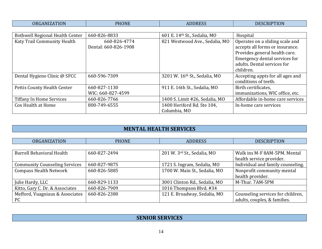| NR (<br>'ION<br>$\Lambda$ Ni | DТ<br>ON F | $\mathbf{z}$ | <b>ITT</b><br>TUN |
|------------------------------|------------|--------------|-------------------|

| <b>Bothwell Regional Health Center</b> | 660-826-8833         | 601 E. 14th St., Sedalia, MO   | Hospital                         |
|----------------------------------------|----------------------|--------------------------------|----------------------------------|
| Katy Trail Community Health            | 660-826-4774         | 821 Westwood Ave., Sedalia, MO | Operates on a sliding scale and  |
|                                        | Dental: 660-826-1908 |                                | accepts all forms or insurance.  |
|                                        |                      |                                | Provides general health care.    |
|                                        |                      |                                | Emergency dental services for    |
|                                        |                      |                                | adults. Dental services for      |
|                                        |                      |                                | children.                        |
| Dental Hygiene Clinic @ SFCC           | 660-596-7309         | 3201 W. 16th St., Sedalia, MO  | Accepting appts for all ages and |
|                                        |                      |                                | conditions of teeth.             |
| Pettis County Health Center            | 660-827-1130         | 911 E. 16th St., Sedalia, MO   | Birth certificates,              |
|                                        | WIC: 660-827-4599    |                                | immunizations, WIC office, etc.  |
| <b>Tiffany In Home Services</b>        | 660-826-7766         | 1400 S. Limit #26, Sedalia, MO | Affordable in-home care services |
| Cox Health at Home                     | 800-749-6555         | 1400 Heriford Rd. Ste 104,     | In-home care services            |
|                                        |                      | Columbia, MO                   |                                  |

# **MENTAL HEALTH SERVICES**

| <b>ORGANIZATION</b>                  | <b>PHONE</b> | <b>ADDRESS</b>                | <b>DESCRIPTION</b>                |
|--------------------------------------|--------------|-------------------------------|-----------------------------------|
|                                      |              |                               |                                   |
| <b>Burrell Behavioral Health</b>     | 660-827-2494 | 201 W. 3rd St., Sedalia, MO   | Walk ins M-F 8AM-5PM. Mental      |
|                                      |              |                               | health service provider.          |
| <b>Community Counseling Services</b> | 660-827-9875 | 1721 S. Ingram, Sedalia, MO   | Individual and family counseling. |
| <b>Compass Health Network</b>        | 660-826-5885 | 1700 W. Main St., Sedalia, MO | Nonprofit community mental        |
|                                      |              |                               | health provider.                  |
| Julie Hardy, LLC                     | 660-829-1133 | 3001 Clinton Rd., Sedalia, MO | M-Thur. 7AM-5PM                   |
| Kitto, Gary C. Dr. & Associates      | 660-826-7909 | 1016 Thompson Blvd. #34       |                                   |
| Mefford, Vuagniaux & Associates      | 660-826-2380 | 121 E. Broadway, Sedalia, MO  | Counseling services for children, |
| PC                                   |              |                               | adults, couples, & families.      |

# **SENIOR SERVICES**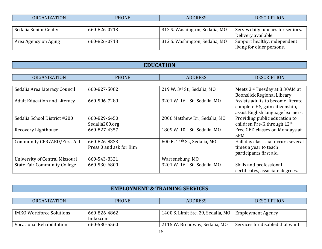| $m \wedge$<br>ORC<br><b>ION</b><br>$\cdots$ | <b>PHONE</b> | 70 C | <b>PTION</b><br><b>DESC</b> |
|---------------------------------------------|--------------|------|-----------------------------|
|                                             |              |      |                             |

 $\mathbf{r}$ 

| Sedalia Senior Center | 660-826-0713 | 312 S. Washington, Sedalia, MO | Serves daily lunches for seniors.                         |
|-----------------------|--------------|--------------------------------|-----------------------------------------------------------|
|                       |              |                                | Delivery available                                        |
| Area Agency on Aging  | 660-826-0713 | 312 S. Washington, Sedalia, MO | Support healthy, independent<br>living for older persons. |

# **EDUCATION**

| <b>ORGANIZATION</b>                 | <b>PHONE</b>            | <b>ADDRESS</b>                | <b>DESCRIPTION</b>                 |
|-------------------------------------|-------------------------|-------------------------------|------------------------------------|
|                                     |                         |                               |                                    |
| Sedalia Area Literacy Council       | 660-827-5082            | 219 W. 3rd St., Sedalia, MO   | Meets 3rd Tuesday at 8:30AM at     |
|                                     |                         |                               | <b>Boonslick Regional Library</b>  |
| <b>Adult Education and Literacy</b> | 660-596-7289            | 3201 W. 16th St., Sedalia, MO | Assists adults to become literate, |
|                                     |                         |                               | complete HS, gain citizenship,     |
|                                     |                         |                               | assist English language learners.  |
| Sedalia School District #200        | 660-829-6450            | 2806 Matthew Dr., Sedalia, MO | Providing public education to      |
|                                     | Sedalia200.org          |                               | children Pre-K through 12th        |
| Recovery Lighthouse                 | 660-827-4357            | 1809 W. 10th St., Sedalia, MO | Free GED classes on Mondays at     |
|                                     |                         |                               | 5PM                                |
| Community CPR/AED/First Aid         | 660-826-8833            | 600 E. 14th St., Sedalia, MO  | Half day class that occurs several |
|                                     | Press 0 and ask for Kim |                               | times a year to teach              |
|                                     |                         |                               | participants first aid.            |
| University of Central Missouri      | 660-543-8321            | Warrensburg, MO               |                                    |
| <b>State Fair Community College</b> | 660-530-6800            | 3201 W. 16th St., Sedalia, MO | Skills and professional            |
|                                     |                         |                               | certificates, associate degrees.   |

# **EMPLOYMENT & TRAINING SERVICES**

| <b>ORGANIZATION</b>             | PHONE        | <b>ADDRESS</b>                                         | <b>DESCRIPTION</b>              |
|---------------------------------|--------------|--------------------------------------------------------|---------------------------------|
|                                 |              |                                                        |                                 |
| <b>IMKO Workforce Solutions</b> | 660-826-4862 | 1400 S. Limit Ste. 29, Sedalia, MO   Employment Agency |                                 |
|                                 | Imko.com     |                                                        |                                 |
| Vocational Rehabilitation       | 660-530-5560 | 2115 W. Broadway, Sedalia, MO                          | Services for disabled that want |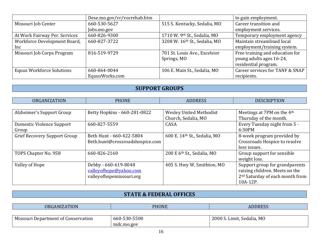|                                  | Dese.mo.gov/vr/vocrehab.htm |                               | to gain employment.             |
|----------------------------------|-----------------------------|-------------------------------|---------------------------------|
| Missouri Job Center              | 660-530-5627                | 515 S. Kentucky, Sedalia, MO  | Career transition and           |
|                                  | Jobs.mo.gov                 |                               | employment services.            |
| At Work Fairway Per. Services    | 660-826-9300                | 1710 W. 9th St., Sedalia, MO  | Temporary employment agency     |
| Workforce Development Board,     | 660-827-3722                | 3208 W. 16th St., Sedalia, MO | Maintain streamlined local      |
| Inc                              |                             |                               | employment/training system.     |
| Missouri Job Corps Program       | 816-519-9729                | 701 St. Louis Ave., Excelsior | Free training and education for |
|                                  |                             | Springs, MO                   | young adults ages 16-24,        |
|                                  |                             |                               | residential program.            |
| <b>Equus Workforce Solutions</b> | 660-864-0044                | 106 E. Main St., Sedalia, MO  | Career services for TANF & SNAP |
|                                  | EquusWorks.com              |                               | recipients.                     |

# **SUPPORT GROUPS**

| <b>ORGANIZATION</b>                 | <b>PHONE</b>                    | <b>ADDRESS</b>                 | <b>DESCRIPTION</b>                          |
|-------------------------------------|---------------------------------|--------------------------------|---------------------------------------------|
|                                     |                                 |                                |                                             |
| Alzheimer's Support Group           | Betty Hopkins - 660-281-0822    | <b>Wesley United Methodist</b> | Meetings at 7PM on the 4 <sup>th</sup>      |
|                                     |                                 | Church, Sedalia, MO            | Thursday of the month.                      |
| Domestic Violence Support           | 660-827-5559                    | CASA                           | Every Tuesday night from 5 -                |
| Group                               |                                 |                                | 6:30PM                                      |
| <b>Grief Recovery Support Group</b> | Beth Hunt - 660-422-5804        | 600 E. 14th St., Sedalia, MO   | 8-week program provided by                  |
|                                     | Beth.hunt@crossroadshospice.com |                                | Crossroads Hospice to resolve               |
|                                     |                                 |                                | loss issues.                                |
| TOPS Chapter No. 958                | 660-826-2160                    | 200 E 6th St., Sedalia, MO     | Group support for sensible                  |
|                                     |                                 |                                | weight loss.                                |
| Valley of Hope                      | Debby - 660-619-8048            | 405 S. Hwy W, Smithton, MO     | Support group for grandparents              |
|                                     | valleyofhope@yahoo.com          |                                | raising children. Meets on the              |
|                                     | valleyofhopemissouri.org        |                                | 2 <sup>nd</sup> Saturday of each month from |
|                                     |                                 |                                | 10A-12P.                                    |

# **STATE & FEDERAL OFFICES**

| <b>ORGANIZATION</b>                 | PHONE        | <b>ADDRESS</b>             |
|-------------------------------------|--------------|----------------------------|
|                                     |              |                            |
| Missouri Department of Conservation | 660-530-5500 | 2000 S. Limit, Sedalia, MO |
|                                     | mdc.mo.gov   |                            |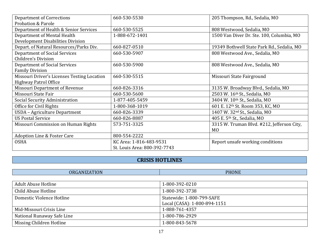| <b>Department of Corrections</b>            | 660-530-5530                 | 205 Thompson, Rd., Sedalia, MO             |
|---------------------------------------------|------------------------------|--------------------------------------------|
| <b>Probation &amp; Parole</b>               |                              |                                            |
| Department of Health & Senior Services      | 660-530-5525                 | 808 Westwood, Sedalia, MO                  |
| Department of Mental Health                 | 1-888-672-1401               | 1500 Van Diver Dr. Ste. 100, Columbia, MO  |
| Development Disabilities Division           |                              |                                            |
| Depart. of Natural Resources/Parks Div.     | 660-827-0510                 | 19349 Bothwell State Park Rd., Sedalia, MO |
| Department of Social Services               | 660-530-5907                 | 808 Westwood Ave., Sedalia, MO             |
| Children's Division                         |                              |                                            |
| <b>Department of Social Services</b>        | 660-530-5900                 | 808 Westwood Ave., Sedalia, MO             |
| <b>Family Division</b>                      |                              |                                            |
| Missouri Driver's Licenses Testing Location | 660-530-5515                 | Missouri State Fairground                  |
| <b>Highway Patrol Office</b>                |                              |                                            |
| Missouri Department of Revenue              | 660-826-3316                 | 3135 W. Broadway Blvd., Sedalia, MO        |
| Missouri State Fair                         | 660-530-5600                 | 2503 W. 16th St., Sedalia, MO              |
| Social Security Administration              | 1-877-405-5459               | 3404 W. 10th St., Sedalia, MO              |
| Office for Civil Rights                     | 1-800-368-1019               | 601 E. 12th St. Room 353, KC, MO           |
| USDA - Agriculture Department               | 660-826-3339                 | 1407 W. 32 <sup>nd</sup> St., Sedalia, MO  |
| <b>US Postal Service</b>                    | 660-826-8887                 | 405 E. 5th St., Sedalia, MO                |
| Missouri Commission on Human Rights         | 573-751-3325                 | 3315 W. Truman Blvd. #212, Jefferson City, |
|                                             |                              | M <sub>0</sub>                             |
| <b>Adoption Line &amp; Foster Care</b>      | 800-554-2222                 |                                            |
| <b>OSHA</b>                                 | KC Area: 1-816-483-9531      | Report unsafe working conditions           |
|                                             | St. Louis Area: 800-392-7743 |                                            |

# **CRISIS HOTLINES**

| .<br>∩R (<br>- A N L<br>. | <b>PHONE</b> |
|---------------------------|--------------|
|                           |              |

| Adult Abuse Hotline        | 1-800-392-0210               |
|----------------------------|------------------------------|
| Child Abuse Hotline        | 1-800-392-3738               |
| Domestic Violence Hotline  | Statewide: 1-800-799-SAFE    |
|                            | Local (CASA): 1-800-894-1151 |
| Mid-Missouri Crisis Line   | 1-888-761-4357               |
| National Runaway Safe Line | 1-800-786-2929               |
| Missing Children Hotline   | 1-800-843-5678               |